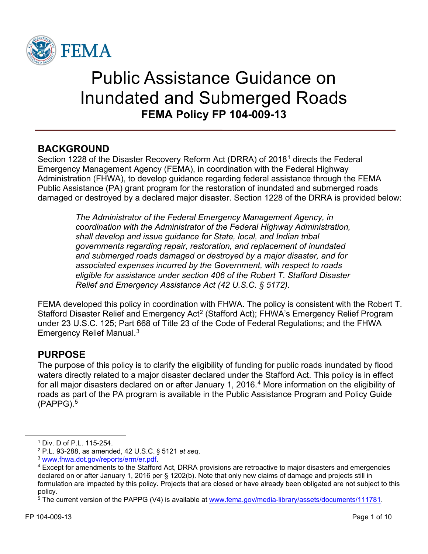

# Public Assistance Guidance on Inundated and Submerged Roads **FEMA Policy FP 104-009-13**

## **BACKGROUND**

Section 1228 of the Disaster Recovery Reform Act (DRRA) of 2018[1](#page-0-0) directs the Federal Emergency Management Agency (FEMA), in coordination with the Federal Highway Administration (FHWA), to develop guidance regarding federal assistance through the FEMA Public Assistance (PA) grant program for the restoration of inundated and submerged roads damaged or destroyed by a declared major disaster. Section 1228 of the DRRA is provided below:

> *The Administrator of the Federal Emergency Management Agency, in coordination with the Administrator of the Federal Highway Administration, shall develop and issue guidance for State, local, and Indian tribal governments regarding repair, restoration, and replacement of inundated and submerged roads damaged or destroyed by a major disaster, and for associated expenses incurred by the Government, with respect to roads eligible for assistance under section 406 of the Robert T. Stafford Disaster Relief and Emergency Assistance Act (42 U.S.C. § 5172).*

FEMA developed this policy in coordination with FHWA. The policy is consistent with the Robert T. Stafford Disaster Relief and Emergency Act<sup>[2](#page-0-1)</sup> (Stafford Act); FHWA's Emergency Relief Program under 23 U.S.C. 125; Part 668 of Title 23 of the Code of Federal Regulations; and the FHWA Emergency Relief Manual. [3](#page-0-2)

## **PURPOSE**

The purpose of this policy is to clarify the eligibility of funding for public roads inundated by flood waters directly related to a major disaster declared under the Stafford Act. This policy is in effect for all major disasters declared on or after January 1, 2016. [4](#page-0-3) More information on the eligibility of roads as part of the PA program is available in the Public Assistance Program and Policy Guide (PAPPG).[5](#page-0-4)

<span id="page-0-1"></span><span id="page-0-0"></span> $^1$  Div. D of P.L. 115-254.<br> $^2$  P.L. 93-288, as amended, 42 U.S.C. § 5121 *et seq.* 

<span id="page-0-3"></span><span id="page-0-2"></span><sup>&</sup>lt;sup>3</sup> [www.fhwa.dot.gov/reports/erm/er.pdf.](http://www.fhwa.dot.gov/reports/erm/er.pdf)<br><sup>4</sup> Except for amendments to the Stafford Act, DRRA provisions are retroactive to major disasters and emergencies declared on or after January 1, 2016 per § 1202(b). Note that only new claims of damage and projects still in formulation are impacted by this policy. Projects that are closed or have already been obligated are not subject to this policy.

<span id="page-0-4"></span><sup>5</sup> The current version of the PAPPG (V4) is available at [www.fema.gov/media-library/assets/documents/111781.](http://www.fema.gov/media-library/assets/documents/111781)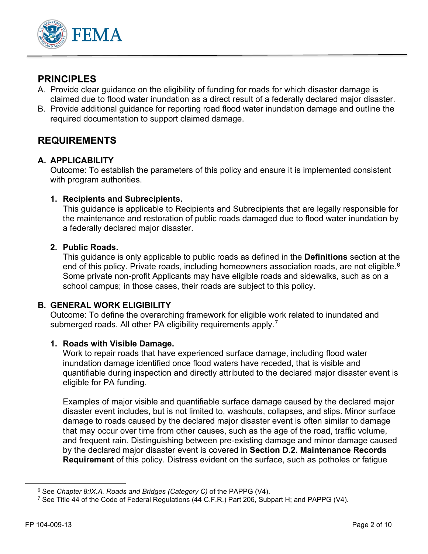

## **PRINCIPLES**

- A. Provide clear guidance on the eligibility of funding for roads for which disaster damage is claimed due to flood water inundation as a direct result of a federally declared major disaster.
- B. Provide additional guidance for reporting road flood water inundation damage and outline the required documentation to support claimed damage.

## **REQUIREMENTS**

#### **A. APPLICABILITY**

Outcome: To establish the parameters of this policy and ensure it is implemented consistent with program authorities.

#### **1. Recipients and Subrecipients.**

This guidance is applicable to Recipients and Subrecipients that are legally responsible for the maintenance and restoration of public roads damaged due to flood water inundation by a federally declared major disaster.

#### **2. Public Roads.**

This guidance is only applicable to public roads as defined in the **Definitions** section at the end of this policy. Private roads, including homeowners association roads, are not eligible.<sup>[6](#page-1-0)</sup> Some private non-profit Applicants may have eligible roads and sidewalks, such as on a school campus; in those cases, their roads are subject to this policy.

#### **B. GENERAL WORK ELIGIBILITY**

Outcome: To define the overarching framework for eligible work related to inundated and submerged roads. All other PA eligibility requirements apply.<sup>[7](#page-1-1)</sup>

#### **1. Roads with Visible Damage.**

Work to repair roads that have experienced surface damage, including flood water inundation damage identified once flood waters have receded, that is visible and quantifiable during inspection and directly attributed to the declared major disaster event is eligible for PA funding.

Examples of major visible and quantifiable surface damage caused by the declared major disaster event includes, but is not limited to, washouts, collapses, and slips. Minor surface damage to roads caused by the declared major disaster event is often similar to damage that may occur over time from other causes, such as the age of the road, traffic volume, and frequent rain. Distinguishing between pre-existing damage and minor damage caused by the declared major disaster event is covered in **Section D.2. Maintenance Records Requirement** of this policy. Distress evident on the surface, such as potholes or fatigue

<span id="page-1-0"></span><sup>6</sup> See *Chapter 8:IX.A. Roads and Bridges (Category C)* of the PAPPG (V4).

<span id="page-1-1"></span><sup>7</sup> See Title 44 of the Code of Federal Regulations (44 C.F.R.) Part 206, Subpart H; and PAPPG (V4).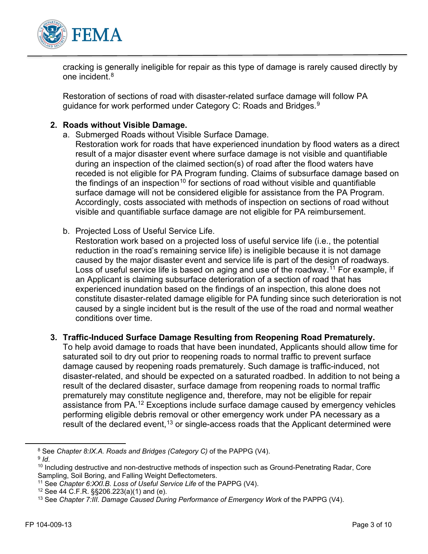

cracking is generally ineligible for repair as this type of damage is rarely caused directly by one incident.<sup>[8](#page-2-0)</sup>

Restoration of sections of road with disaster-related surface damage will follow PA guidance for work performed under Category C: Roads and Bridges.<sup>9</sup>

#### **2. Roads without Visible Damage.**

- a. Submerged Roads without Visible Surface Damage.
	- Restoration work for roads that have experienced inundation by flood waters as a direct result of a major disaster event where surface damage is not visible and quantifiable during an inspection of the claimed section(s) of road after the flood waters have receded is not eligible for PA Program funding. Claims of subsurface damage based on the findings of an inspection<sup>[10](#page-2-2)</sup> for sections of road without visible and quantifiable surface damage will not be considered eligible for assistance from the PA Program. Accordingly, costs associated with methods of inspection on sections of road without visible and quantifiable surface damage are not eligible for PA reimbursement.
- b. Projected Loss of Useful Service Life.

Restoration work based on a projected loss of useful service life (i.e., the potential reduction in the road's remaining service life) is ineligible because it is not damage caused by the major disaster event and service life is part of the design of roadways. Loss of useful service life is based on aging and use of the roadway.<sup>[11](#page-2-3)</sup> For example, if an Applicant is claiming subsurface deterioration of a section of road that has experienced inundation based on the findings of an inspection, this alone does not constitute disaster-related damage eligible for PA funding since such deterioration is not caused by a single incident but is the result of the use of the road and normal weather conditions over time.

**3. Traffic-Induced Surface Damage Resulting from Reopening Road Prematurely.**

To help avoid damage to roads that have been inundated, Applicants should allow time for saturated soil to dry out prior to reopening roads to normal traffic to prevent surface damage caused by reopening roads prematurely. Such damage is traffic-induced, not disaster-related, and should be expected on a saturated roadbed. In addition to not being a result of the declared disaster, surface damage from reopening roads to normal traffic prematurely may constitute negligence and, therefore, may not be eligible for repair assistance from PA.[12](#page-2-4) Exceptions include surface damage caused by emergency vehicles performing eligible debris removal or other emergency work under PA necessary as a result of the declared event,<sup>[13](#page-2-5)</sup> or single-access roads that the Applicant determined were

<span id="page-2-1"></span><span id="page-2-0"></span><sup>8</sup> See *Chapter 8:IX.A. Roads and Bridges (Category C)* of the PAPPG (V4).

<span id="page-2-2"></span><sup>&</sup>lt;sup>10</sup> Including destructive and non-destructive methods of inspection such as Ground-Penetrating Radar, Core Sampling, Soil Boring, and Falling Weight Deflectometers.

<span id="page-2-4"></span><span id="page-2-3"></span><sup>11</sup> See *Chapter 6:XXI.B. Loss of Useful Service Life* of the PAPPG (V4). 12 See 44 C.F.R. §§206.223(a)(1) and (e).

<span id="page-2-5"></span><sup>&</sup>lt;sup>13</sup> See Chapter 7:III. Damage Caused During Performance of Emergency Work of the PAPPG (V4).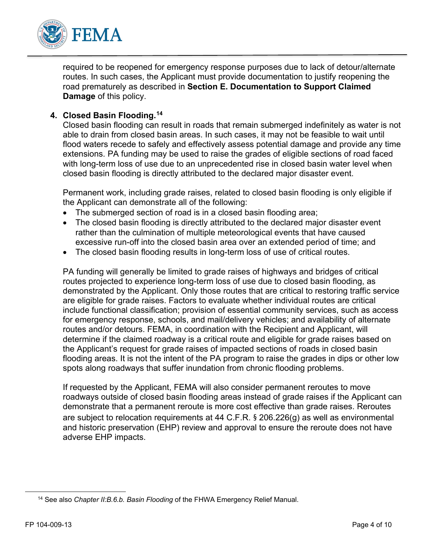

required to be reopened for emergency response purposes due to lack of detour/alternate routes. In such cases, the Applicant must provide documentation to justify reopening the road prematurely as described in **Section E. Documentation to Support Claimed Damage** of this policy.

#### **4. Closed Basin Flooding.[14](#page-3-0)**

Closed basin flooding can result in roads that remain submerged indefinitely as water is not able to drain from closed basin areas. In such cases, it may not be feasible to wait until flood waters recede to safely and effectively assess potential damage and provide any time extensions. PA funding may be used to raise the grades of eligible sections of road faced with long-term loss of use due to an unprecedented rise in closed basin water level when closed basin flooding is directly attributed to the declared major disaster event.

Permanent work, including grade raises, related to closed basin flooding is only eligible if the Applicant can demonstrate all of the following:

- The submerged section of road is in a closed basin flooding area;
- The closed basin flooding is directly attributed to the declared major disaster event rather than the culmination of multiple meteorological events that have caused excessive run-off into the closed basin area over an extended period of time; and
- The closed basin flooding results in long-term loss of use of critical routes.

PA funding will generally be limited to grade raises of highways and bridges of critical routes projected to experience long-term loss of use due to closed basin flooding, as demonstrated by the Applicant. Only those routes that are critical to restoring traffic service are eligible for grade raises. Factors to evaluate whether individual routes are critical include functional classification; provision of essential community services, such as access for emergency response, schools, and mail/delivery vehicles; and availability of alternate routes and/or detours. FEMA, in coordination with the Recipient and Applicant, will determine if the claimed roadway is a critical route and eligible for grade raises based on the Applicant's request for grade raises of impacted sections of roads in closed basin flooding areas. It is not the intent of the PA program to raise the grades in dips or other low spots along roadways that suffer inundation from chronic flooding problems.

If requested by the Applicant, FEMA will also consider permanent reroutes to move roadways outside of closed basin flooding areas instead of grade raises if the Applicant can demonstrate that a permanent reroute is more cost effective than grade raises. Reroutes are subject to relocation requirements at 44 C.F.R. § 206.226(g) as well as environmental and historic preservation (EHP) review and approval to ensure the reroute does not have adverse EHP impacts.

<span id="page-3-0"></span><sup>14</sup> See also *Chapter II:B.6.b. Basin Flooding* of the FHWA Emergency Relief Manual.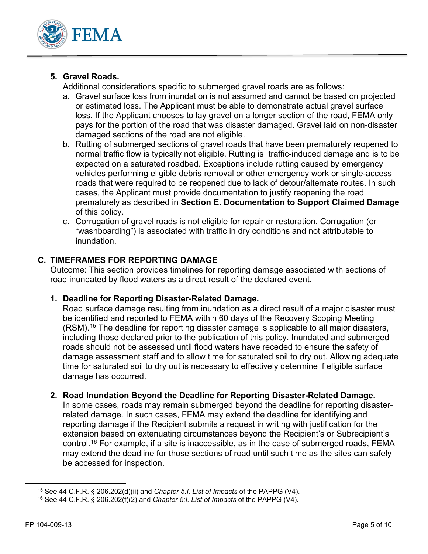

## **5. Gravel Roads.**

Additional considerations specific to submerged gravel roads are as follows:

- a. Gravel surface loss from inundation is not assumed and cannot be based on projected or estimated loss. The Applicant must be able to demonstrate actual gravel surface loss. If the Applicant chooses to lay gravel on a longer section of the road, FEMA only pays for the portion of the road that was disaster damaged. Gravel laid on non-disaster damaged sections of the road are not eligible.
- b. Rutting of submerged sections of gravel roads that have been prematurely reopened to normal traffic flow is typically not eligible. Rutting is traffic-induced damage and is to be expected on a saturated roadbed. Exceptions include rutting caused by emergency vehicles performing eligible debris removal or other emergency work or single-access roads that were required to be reopened due to lack of detour/alternate routes. In such cases, the Applicant must provide documentation to justify reopening the road prematurely as described in **Section E. Documentation to Support Claimed Damage** of this policy.
- c. Corrugation of gravel roads is not eligible for repair or restoration. Corrugation (or "washboarding") is associated with traffic in dry conditions and not attributable to inundation.

#### **C. TIMEFRAMES FOR REPORTING DAMAGE**

Outcome: This section provides timelines for reporting damage associated with sections of road inundated by flood waters as a direct result of the declared event.

#### **1. Deadline for Reporting Disaster-Related Damage.**

Road surface damage resulting from inundation as a direct result of a major disaster must be identified and reported to FEMA within 60 days of the Recovery Scoping Meeting (RSM). [15](#page-4-0) The deadline for reporting disaster damage is applicable to all major disasters, including those declared prior to the publication of this policy. Inundated and submerged roads should not be assessed until flood waters have receded to ensure the safety of damage assessment staff and to allow time for saturated soil to dry out. Allowing adequate time for saturated soil to dry out is necessary to effectively determine if eligible surface damage has occurred.

#### **2. Road Inundation Beyond the Deadline for Reporting Disaster-Related Damage.**

In some cases, roads may remain submerged beyond the deadline for reporting disasterrelated damage. In such cases, FEMA may extend the deadline for identifying and reporting damage if the Recipient submits a request in writing with justification for the extension based on extenuating circumstances beyond the Recipient's or Subrecipient's control.[16](#page-4-1) For example, if a site is inaccessible, as in the case of submerged roads, FEMA may extend the deadline for those sections of road until such time as the sites can safely be accessed for inspection.

<span id="page-4-0"></span><sup>15</sup> See 44 C.F.R. § 206.202(d)(ii) and *Chapter 5:I. List of Impacts* of the PAPPG (V4).

<span id="page-4-1"></span><sup>16</sup> See 44 C.F.R. § 206.202(f)(2) and *Chapter 5:I. List of Impacts* of the PAPPG (V4).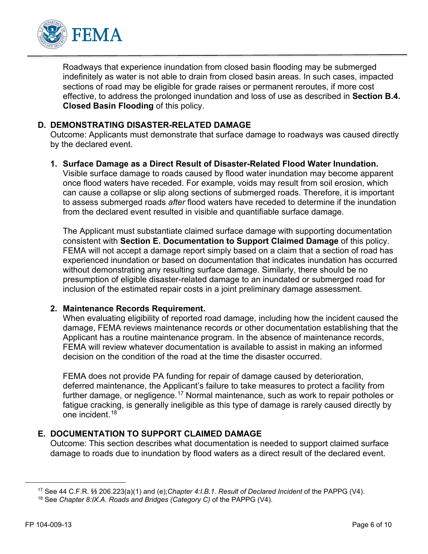

Roadways that experience inundation from closed basin flooding may be submerged indefinitely as water is not able to drain from closed basin areas. In such cases, impacted sections of road may be eligible for grade raises or permanent reroutes, if more cost effective, to address the prolonged inundation and loss of use as described in **Section B.4. Closed Basin Flooding** of this policy.

#### **D. DEMONSTRATING DISASTER-RELATED DAMAGE**

Outcome: Applicants must demonstrate that surface damage to roadways was caused directly by the declared event.

#### **1. Surface Damage as a Direct Result of Disaster-Related Flood Water Inundation.**

Visible surface damage to roads caused by flood water inundation may become apparent once flood waters have receded. For example, voids may result from soil erosion, which can cause a collapse or slip along sections of submerged roads. Therefore, it is important to assess submerged roads *after* flood waters have receded to determine if the inundation from the declared event resulted in visible and quantifiable surface damage.

The Applicant must substantiate claimed surface damage with supporting documentation consistent with **Section E. Documentation to Support Claimed Damage** of this policy. FEMA will not accept a damage report simply based on a claim that a section of road has experienced inundation or based on documentation that indicates inundation has occurred without demonstrating any resulting surface damage. Similarly, there should be no presumption of eligible disaster-related damage to an inundated or submerged road for inclusion of the estimated repair costs in a joint preliminary damage assessment.

#### **2. Maintenance Records Requirement.**

When evaluating eligibility of reported road damage, including how the incident caused the damage, FEMA reviews maintenance records or other documentation establishing that the Applicant has a routine maintenance program. In the absence of maintenance records, FEMA will review whatever documentation is available to assist in making an informed decision on the condition of the road at the time the disaster occurred.

FEMA does not provide PA funding for repair of damage caused by deterioration, deferred maintenance, the Applicant's failure to take measures to protect a facility from further damage, or negligence.<sup>[17](#page-5-0)</sup> Normal maintenance, such as work to repair potholes or fatigue cracking, is generally ineligible as this type of damage is rarely caused directly by one incident.<sup>[18](#page-5-1)</sup>

#### **E. DOCUMENTATION TO SUPPORT CLAIMED DAMAGE**

Outcome: This section describes what documentation is needed to support claimed surface damage to roads due to inundation by flood waters as a direct result of the declared event.

<span id="page-5-0"></span><sup>17</sup> See 44 C.F.R. §§ 206.223(a)(1) and (e);*Chapter 4:I.B.1. Result of Declared Incident* of the PAPPG (V4).

<span id="page-5-1"></span><sup>18</sup> See *Chapter 8:IX.A. Roads and Bridges (Category C)* of the PAPPG (V4).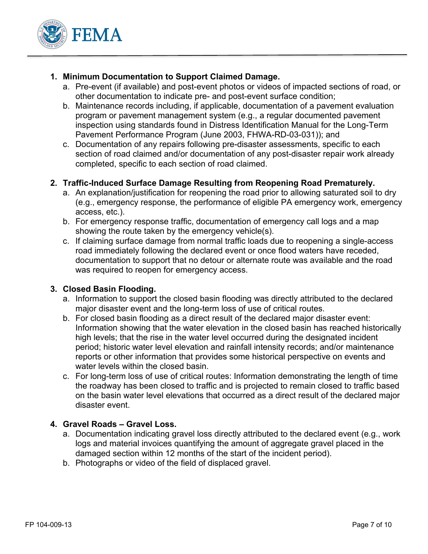

#### **1. Minimum Documentation to Support Claimed Damage.**

- a. Pre-event (if available) and post-event photos or videos of impacted sections of road, or other documentation to indicate pre- and post-event surface condition;
- b. Maintenance records including, if applicable, documentation of a pavement evaluation program or pavement management system (e.g., a regular documented pavement inspection using standards found in Distress Identification Manual for the Long-Term Pavement Performance Program (June 2003, FHWA-RD-03-031)); and
- c. Documentation of any repairs following pre-disaster assessments, specific to each section of road claimed and/or documentation of any post-disaster repair work already completed, specific to each section of road claimed.

#### **2. Traffic-Induced Surface Damage Resulting from Reopening Road Prematurely.**

- a. An explanation/justification for reopening the road prior to allowing saturated soil to dry (e.g., emergency response, the performance of eligible PA emergency work, emergency access, etc.).
- b. For emergency response traffic, documentation of emergency call logs and a map showing the route taken by the emergency vehicle(s).
- c. If claiming surface damage from normal traffic loads due to reopening a single-access road immediately following the declared event or once flood waters have receded, documentation to support that no detour or alternate route was available and the road was required to reopen for emergency access.

#### **3. Closed Basin Flooding.**

- a. Information to support the closed basin flooding was directly attributed to the declared major disaster event and the long-term loss of use of critical routes.
- b. For closed basin flooding as a direct result of the declared major disaster event: Information showing that the water elevation in the closed basin has reached historically high levels; that the rise in the water level occurred during the designated incident period; historic water level elevation and rainfall intensity records; and/or maintenance reports or other information that provides some historical perspective on events and water levels within the closed basin.
- c. For long-term loss of use of critical routes: Information demonstrating the length of time the roadway has been closed to traffic and is projected to remain closed to traffic based on the basin water level elevations that occurred as a direct result of the declared major disaster event.

#### **4. Gravel Roads – Gravel Loss.**

- a. Documentation indicating gravel loss directly attributed to the declared event (e.g., work logs and material invoices quantifying the amount of aggregate gravel placed in the damaged section within 12 months of the start of the incident period).
- b. Photographs or video of the field of displaced gravel.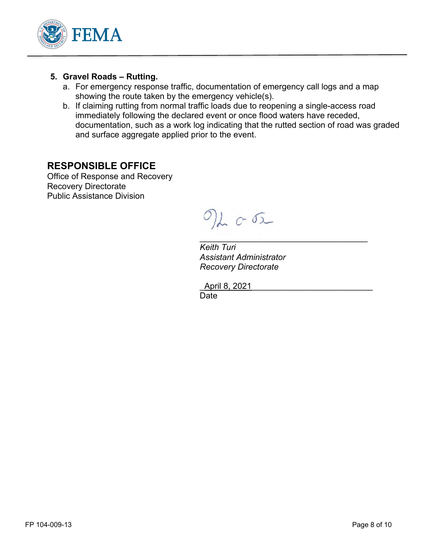

#### **5. Gravel Roads – Rutting.**

- a. For emergency response traffic, documentation of emergency call logs and a map showing the route taken by the emergency vehicle(s).
- b. If claiming rutting from normal traffic loads due to reopening a single-access road immediately following the declared event or once flood waters have receded, documentation, such as a work log indicating that the rutted section of road was graded and surface aggregate applied prior to the event.

## **RESPONSIBLE OFFICE**

Office of Response and Recovery Recovery Directorate Public Assistance Division

 $O(L)$ 

 $\mathcal{L}_\text{max} = \mathcal{L}_\text{max} = \mathcal{L}_\text{max}$  , where  $\mathcal{L}_\text{max}$ *Keith Turi Assistant Administrator Recovery Directorate* 

\_April 8, 2021\_\_\_\_\_\_\_\_\_\_\_\_\_\_\_\_\_\_\_\_\_\_\_\_\_\_ **Date**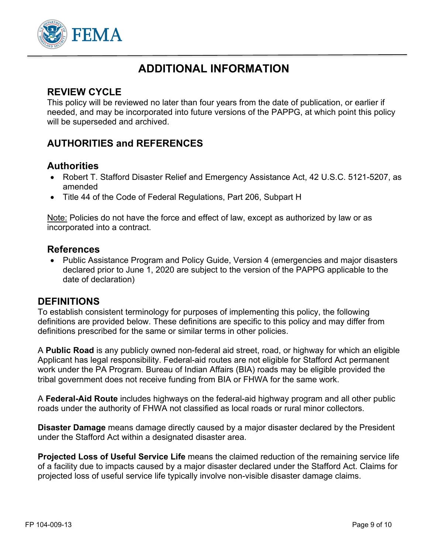

## **ADDITIONAL INFORMATION**

## **REVIEW CYCLE**

This policy will be reviewed no later than four years from the date of publication, or earlier if needed, and may be incorporated into future versions of the PAPPG, at which point this policy will be superseded and archived.

## **AUTHORITIES and REFERENCES**

## **Authorities**

- Robert T. Stafford Disaster Relief and Emergency Assistance Act, 42 U.S.C. 5121-5207, as amended
- Title 44 of the Code of Federal Regulations, Part 206, Subpart H

Note: Policies do not have the force and effect of law, except as authorized by law or as incorporated into a contract.

### **References**

• Public Assistance Program and Policy Guide, Version 4 (emergencies and major disasters declared prior to June 1, 2020 are subject to the version of the PAPPG applicable to the date of declaration)

#### **DEFINITIONS**

To establish consistent terminology for purposes of implementing this policy, the following definitions are provided below. These definitions are specific to this policy and may differ from definitions prescribed for the same or similar terms in other policies.

A **Public Road** is any publicly owned non-federal aid street, road, or highway for which an eligible Applicant has legal responsibility. Federal-aid routes are not eligible for Stafford Act permanent work under the PA Program. Bureau of Indian Affairs (BIA) roads may be eligible provided the tribal government does not receive funding from BIA or FHWA for the same work.

A **Federal-Aid Route** includes highways on the federal-aid highway program and all other public roads under the authority of FHWA not classified as local roads or rural minor collectors.

**Disaster Damage** means damage directly caused by a major disaster declared by the President under the Stafford Act within a designated disaster area.

**Projected Loss of Useful Service Life** means the claimed reduction of the remaining service life of a facility due to impacts caused by a major disaster declared under the Stafford Act. Claims for projected loss of useful service life typically involve non-visible disaster damage claims.